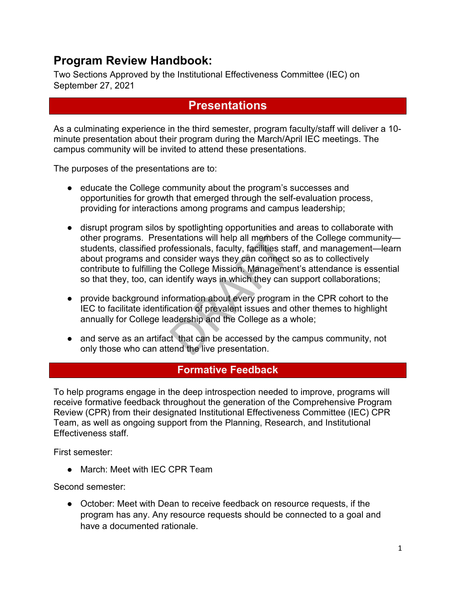## **Program Review Handbook:**

Two Sections Approved by the Institutional Effectiveness Committee (IEC) on September 27, 2021

## **Presentations**

As a culminating experience in the third semester, program faculty/staff will deliver a 10 minute presentation about their program during the March/April IEC meetings. The campus community will be invited to attend these presentations.

The purposes of the presentations are to:

- educate the College community about the program's successes and opportunities for growth that emerged through the self-evaluation process, providing for interactions among programs and campus leadership;
- disrupt program silos by spotlighting opportunities and areas to collaborate with other programs. Presentations will help all members of the College community students, classified professionals, faculty, facilities staff, and management—learn about programs and consider ways they can connect so as to collectively contribute to fulfilling the College Mission. Management's attendance is essential so that they, too, can identify ways in which they can support collaborations;
- provide background information about every program in the CPR cohort to the IEC to facilitate identification of prevalent issues and other themes to highlight annually for College leadership and the College as a whole;
- and serve as an artifact that can be accessed by the campus community, not only those who can attend the live presentation.

## **Formative Feedback**

To help programs engage in the deep introspection needed to improve, programs will receive formative feedback throughout the generation of the Comprehensive Program Review (CPR) from their designated Institutional Effectiveness Committee (IEC) CPR Team, as well as ongoing support from the Planning, Research, and Institutional Effectiveness staff.

First semester:

• March: Meet with IEC CPR Team

Second semester:

● October: Meet with Dean to receive feedback on resource requests, if the program has any. Any resource requests should be connected to a goal and have a documented rationale.